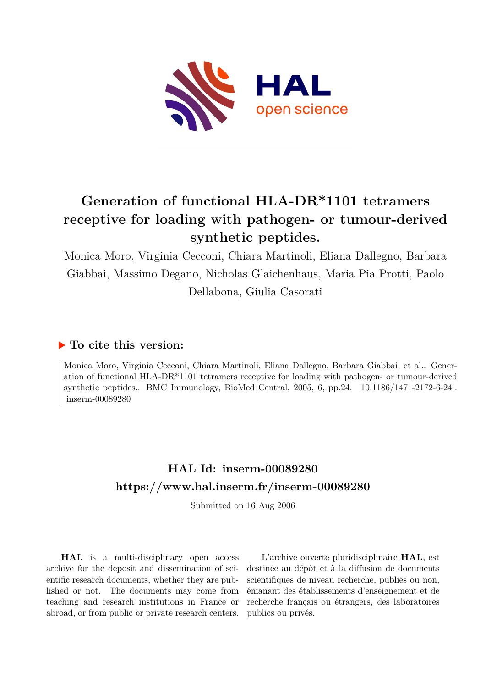

# **Generation of functional HLA-DR\*1101 tetramers receptive for loading with pathogen- or tumour-derived synthetic peptides.**

Monica Moro, Virginia Cecconi, Chiara Martinoli, Eliana Dallegno, Barbara Giabbai, Massimo Degano, Nicholas Glaichenhaus, Maria Pia Protti, Paolo Dellabona, Giulia Casorati

# **To cite this version:**

Monica Moro, Virginia Cecconi, Chiara Martinoli, Eliana Dallegno, Barbara Giabbai, et al.. Generation of functional HLA-DR\*1101 tetramers receptive for loading with pathogen- or tumour-derived synthetic peptides.. BMC Immunology, BioMed Central,  $2005$ ,  $6$ , pp.24.  $10.1186/1471-2172-6-24$ .  $inserm-00089280$ 

# **HAL Id: inserm-00089280 <https://www.hal.inserm.fr/inserm-00089280>**

Submitted on 16 Aug 2006

**HAL** is a multi-disciplinary open access archive for the deposit and dissemination of scientific research documents, whether they are published or not. The documents may come from teaching and research institutions in France or abroad, or from public or private research centers.

L'archive ouverte pluridisciplinaire **HAL**, est destinée au dépôt et à la diffusion de documents scientifiques de niveau recherche, publiés ou non, émanant des établissements d'enseignement et de recherche français ou étrangers, des laboratoires publics ou privés.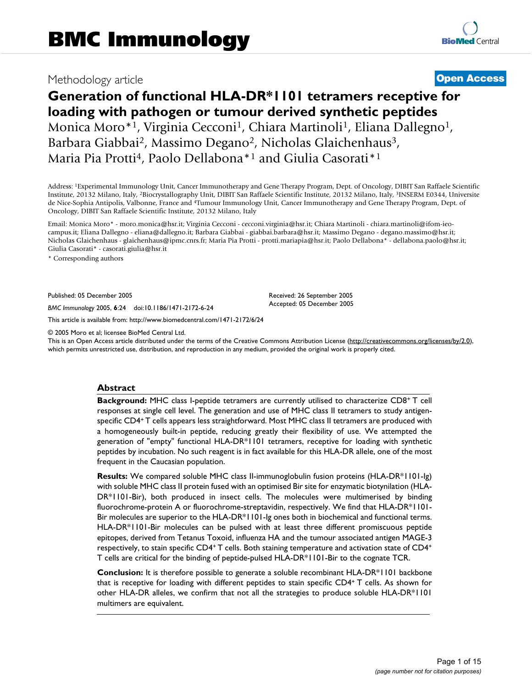# Methodology article **Contract Contract Contract Contract Contract Contract Contract Contract Contract Contract Contract Contract Contract Contract Contract Contract Contract Contract Contract Contract Contract Contract Con**

# **Generation of functional HLA-DR\*1101 tetramers receptive for loading with pathogen or tumour derived synthetic peptides** Monica Moro\*<sup>1</sup>, Virginia Cecconi<sup>1</sup>, Chiara Martinoli<sup>1</sup>, Eliana Dallegno<sup>1</sup>, Barbara Giabbai<sup>2</sup>, Massimo Degano<sup>2</sup>, Nicholas Glaichenhaus<sup>3</sup>, Maria Pia Protti<sup>4</sup>, Paolo Dellabona<sup>\*1</sup> and Giulia Casorati<sup>\*1</sup>

Address: <sup>1</sup>Experimental Immunology Unit, Cancer Immunotherapy and Gene Therapy Program, Dept. of Oncology, DIBIT San Raffaele Scientific Institute, 20132 Milano, Italy, <sup>2</sup>Biocrystallography Unit, DIBIT San Raffaele Scientific Institute, 20132 Milano, Italy, <sup>3</sup>INSERM E0344, Universite de Nice-Sophia Antipolis, Valbonne, France and <sup>4</sup>Tumour Immunology Unit, Cancer Immunotherapy and Gene Therapy Program, Dept. of Oncology, DIBIT San Raffaele Scientific Institute, 20132 Milano, Italy

Email: Monica Moro\* - moro.monica@hsr.it; Virginia Cecconi - cecconi.virginia@hsr.it; Chiara Martinoli - chiara.martinoli@ifom-ieocampus.it; Eliana Dallegno - eliana@dallegno.it; Barbara Giabbai - giabbai.barbara@hsr.it; Massimo Degano - degano.massimo@hsr.it; Nicholas Glaichenhaus - glaichenhaus@ipmc.cnrs.fr; Maria Pia Protti - protti.mariapia@hsr.it; Paolo Dellabona\* - dellabona.paolo@hsr.it; Giulia Casorati\* - casorati.giulia@hsr.it

\* Corresponding authors

Published: 05 December 2005

*BMC Immunology* 2005, **6**:24 doi:10.1186/1471-2172-6-24

[This article is available from: http://www.biomedcentral.com/1471-2172/6/24](http://www.biomedcentral.com/1471-2172/6/24)

© 2005 Moro et al; licensee BioMed Central Ltd.

This is an Open Access article distributed under the terms of the Creative Commons Attribution License [\(http://creativecommons.org/licenses/by/2.0\)](http://creativecommons.org/licenses/by/2.0), which permits unrestricted use, distribution, and reproduction in any medium, provided the original work is properly cited.

Received: 26 September 2005 Accepted: 05 December 2005

#### **Abstract**

**Background:** MHC class I-peptide tetramers are currently utilised to characterize CD8<sup>+</sup> T cell responses at single cell level. The generation and use of MHC class II tetramers to study antigenspecific CD4<sup>+</sup>T cells appears less straightforward. Most MHC class II tetramers are produced with a homogeneously built-in peptide, reducing greatly their flexibility of use. We attempted the generation of "empty" functional HLA-DR\*1101 tetramers, receptive for loading with synthetic peptides by incubation. No such reagent is in fact available for this HLA-DR allele, one of the most frequent in the Caucasian population.

**Results:** We compared soluble MHC class II-immunoglobulin fusion proteins (HLA-DR\*1101-Ig) with soluble MHC class II protein fused with an optimised Bir site for enzymatic biotynilation (HLA-DR\*1101-Bir), both produced in insect cells. The molecules were multimerised by binding fluorochrome-protein A or fluorochrome-streptavidin, respectively. We find that HLA-DR\*1101- Bir molecules are superior to the HLA-DR\*1101-Ig ones both in biochemical and functional terms. HLA-DR\*1101-Bir molecules can be pulsed with at least three different promiscuous peptide epitopes, derived from Tetanus Toxoid, influenza HA and the tumour associated antigen MAGE-3 respectively, to stain specific CD4<sup>+</sup>T cells. Both staining temperature and activation state of CD4<sup>+</sup> T cells are critical for the binding of peptide-pulsed HLA-DR\*1101-Bir to the cognate TCR.

**Conclusion:** It is therefore possible to generate a soluble recombinant HLA-DR\*1101 backbone that is receptive for loading with different peptides to stain specific CD4+ T cells. As shown for other HLA-DR alleles, we confirm that not all the strategies to produce soluble HLA-DR\*1101 multimers are equivalent.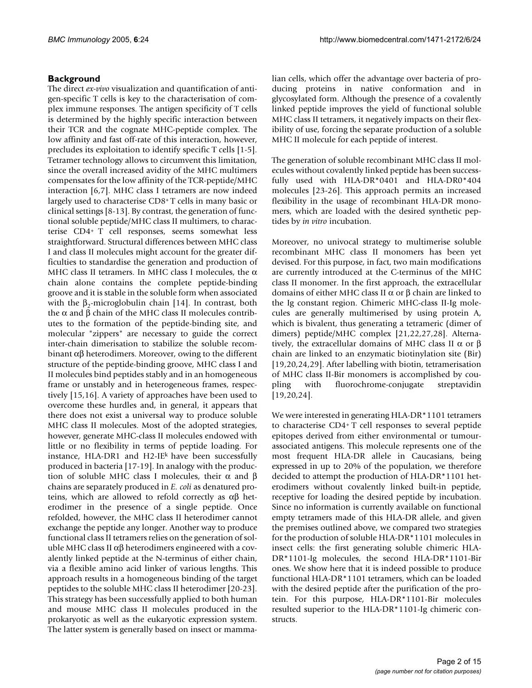# **Background**

The direct *ex-vivo* visualization and quantification of antigen-specific T cells is key to the characterisation of complex immune responses. The antigen specificity of T cells is determined by the highly specific interaction between their TCR and the cognate MHC-peptide complex. The low affinity and fast off-rate of this interaction, however, precludes its exploitation to identify specific T cells [1-5]. Tetramer technology allows to circumvent this limitation, since the overall increased avidity of the MHC multimers compensates for the low affinity of the TCR-peptide/MHC interaction [6,7]. MHC class I tetramers are now indeed largely used to characterise CD8<sup>+</sup>T cells in many basic or clinical settings [8-13]. By contrast, the generation of functional soluble peptide/MHC class II multimers, to characterise CD4<sup>+</sup>T cell responses, seems somewhat less straightforward. Structural differences between MHC class I and class II molecules might account for the greater difficulties to standardise the generation and production of MHC class II tetramers. In MHC class I molecules, the  $\alpha$ chain alone contains the complete peptide-binding groove and it is stable in the soluble form when associated with the  $\beta_2$ -microglobulin chain [14]. In contrast, both the α and β chain of the MHC class II molecules contributes to the formation of the peptide-binding site, and molecular "zippers" are necessary to guide the correct inter-chain dimerisation to stabilize the soluble recombinant αβ heterodimers. Moreover, owing to the different structure of the peptide-binding groove, MHC class I and II molecules bind peptides stably and in an homogeneous frame or unstably and in heterogeneous frames, respectively [15,16]. A variety of approaches have been used to overcome these hurdles and, in general, it appears that there does not exist a universal way to produce soluble MHC class II molecules. Most of the adopted strategies, however, generate MHC-class II molecules endowed with little or no flexibility in terms of peptide loading. For instance, HLA-DR1 and H2-IE $k$  have been successfully produced in bacteria [17-19]. In analogy with the production of soluble MHC class I molecules, their  $α$  and  $β$ chains are separately produced in *E. coli* as denatured proteins, which are allowed to refold correctly as  $\alpha\beta$  heterodimer in the presence of a single peptide. Once refolded, however, the MHC class II heterodimer cannot exchange the peptide any longer. Another way to produce functional class II tetramers relies on the generation of soluble MHC class II  $\alpha\beta$  heterodimers engineered with a covalently linked peptide at the N-terminus of either chain, via a flexible amino acid linker of various lengths. This approach results in a homogeneous binding of the target peptides to the soluble MHC class II heterodimer [20-23]. This strategy has been successfully applied to both human and mouse MHC class II molecules produced in the prokaryotic as well as the eukaryotic expression system. The latter system is generally based on insect or mammalian cells, which offer the advantage over bacteria of producing proteins in native conformation and in glycosylated form. Although the presence of a covalently linked peptide improves the yield of functional soluble MHC class II tetramers, it negatively impacts on their flexibility of use, forcing the separate production of a soluble MHC II molecule for each peptide of interest.

The generation of soluble recombinant MHC class II molecules without covalently linked peptide has been successfully used with HLA-DR\*0401 and HLA-DR0\*404 molecules [23-26]. This approach permits an increased flexibility in the usage of recombinant HLA-DR monomers, which are loaded with the desired synthetic peptides by *in vitro* incubation.

Moreover, no univocal strategy to multimerise soluble recombinant MHC class II monomers has been yet devised. For this purpose, in fact, two main modifications are currently introduced at the C-terminus of the MHC class II monomer. In the first approach, the extracellular domains of either MHC class II α or β chain are linked to the Ig constant region. Chimeric MHC-class II-Ig molecules are generally multimerised by using protein A, which is bivalent, thus generating a tetrameric (dimer of dimers) peptide/MHC complex [21,22,27,28]. Alternatively, the extracellular domains of MHC class II  $\alpha$  or β chain are linked to an enzymatic biotinylation site (Bir) [19,20,24,29]. After labelling with biotin, tetramerisation of MHC class II-Bir monomers is accomplished by coupling with fluorochrome-conjugate streptavidin [19,20,24].

We were interested in generating HLA-DR\*1101 tetramers to characterise CD4<sup>+</sup>T cell responses to several peptide epitopes derived from either environmental or tumourassociated antigens. This molecule represents one of the most frequent HLA-DR allele in Caucasians, being expressed in up to 20% of the population, we therefore decided to attempt the production of HLA-DR\*1101 heterodimers without covalently linked built-in peptide, receptive for loading the desired peptide by incubation. Since no information is currently available on functional empty tetramers made of this HLA-DR allele, and given the premises outlined above, we compared two strategies for the production of soluble HLA-DR\*1101 molecules in insect cells: the first generating soluble chimeric HLA-DR\*1101-Ig molecules, the second HLA-DR\*1101-Bir ones. We show here that it is indeed possible to produce functional HLA-DR\*1101 tetramers, which can be loaded with the desired peptide after the purification of the protein. For this purpose, HLA-DR\*1101-Bir molecules resulted superior to the HLA-DR\*1101-Ig chimeric constructs.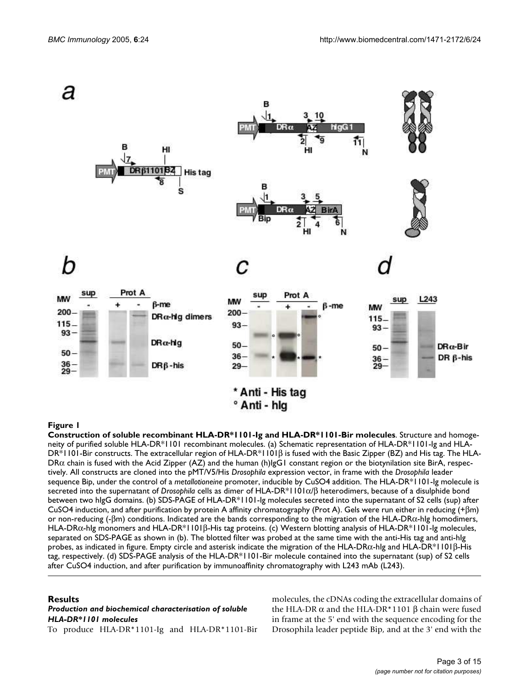

#### Construction of soluble recombinant HL **Figure 1** A-DR\*1101-Ig and HLA-DR\*1101-Bir molecules

**Construction of soluble recombinant HLA-DR\*1101-Ig and HLA-DR\*1101-Bir molecules**. Structure and homogeneity of purified soluble HLA-DR\*1101 recombinant molecules. (a) Schematic representation of HLA-DR\*1101-Ig and HLA-DR\*1101-Bir constructs. The extracellular region of HLA-DR\*1101β is fused with the Basic Zipper (BZ) and His tag. The HLA- $DR\alpha$  chain is fused with the Acid Zipper (AZ) and the human (h)IgG1 constant region or the biotynilation site BirA, respectively. All constructs are cloned into the pMT/V5/His *Drosophila* expression vector, in frame with the *Drosophila* leader sequence Bip, under the control of a *metallotioneine* promoter, inducible by CuSO4 addition. The HLA-DR\*1101-Ig molecule is secreted into the supernatant of *Drosophila* cells as dimer of HLA-DR\*1101α/β heterodimers, because of a disulphide bond between two hIgG domains. (b) SDS-PAGE of HLA-DR\*1101-Ig molecules secreted into the supernatant of S2 cells (sup) after CuSO4 induction, and after purification by protein A affinity chromatography (Prot A). Gels were run either in reducing (+βm) or non-reducing (- $\beta$ m) conditions. Indicated are the bands corresponding to the migration of the HLA-DR $\alpha$ -hIg homodimers, HLA-DRα-hIg monomers and HLA-DR\*1101β-His tag proteins. (c) Western blotting analysis of HLA-DR\*1101-Ig molecules, separated on SDS-PAGE as shown in (b). The blotted filter was probed at the same time with the anti-His tag and anti-hIg probes, as indicated in figure. Empty circle and asterisk indicate the migration of the HLA-DR $\alpha$ -hlg and HLA-DR\*1101β-His tag, respectively. (d) SDS-PAGE analysis of the HLA-DR\*1101-Bir molecule contained into the supernatant (sup) of S2 cells after CuSO4 induction, and after purification by immunoaffinity chromatography with L243 mAb (L243).

#### **Results**

# *Production and biochemical characterisation of soluble HLA-DR\*1101 molecules*

To produce HLA-DR\*1101-Ig and HLA-DR\*1101-Bir

molecules, the cDNAs coding the extracellular domains of the HLA-DR  $\alpha$  and the HLA-DR\*1101 β chain were fused in frame at the 5' end with the sequence encoding for the Drosophila leader peptide Bip, and at the 3' end with the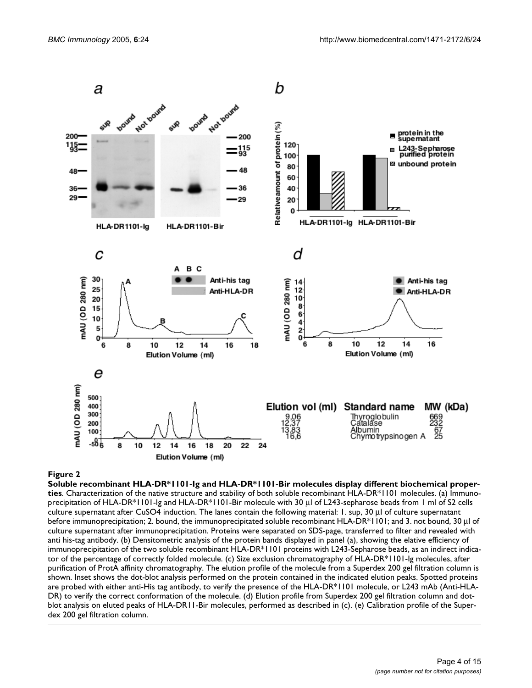

#### Soluble recombinant HLA-DR\*1101-Ig and HLA-DR\*1101-Bi **Figure 2** r molecules display different biochemical properties

**Soluble recombinant HLA-DR\*1101-Ig and HLA-DR\*1101-Bir molecules display different biochemical properties**. Characterization of the native structure and stability of both soluble recombinant HLA-DR\*1101 molecules. (a) Immunoprecipitation of HLA-DR\*1101-Ig and HLA-DR\*1101-Bir molecule with 30 µl of L243-sepharose beads from 1 ml of S2 cells culture supernatant after CuSO4 induction. The lanes contain the following material: 1. sup, 30 µl of culture supernatant before immunoprecipitation; 2. bound, the immunoprecipitated soluble recombinant HLA-DR\*1101; and 3. not bound, 30 µl of culture supernatant after immunoprecipitation. Proteins were separated on SDS-page, transferred to filter and revealed with anti his-tag antibody. (b) Densitometric analysis of the protein bands displayed in panel (a), showing the elative efficiency of immunoprecipitation of the two soluble recombinant HLA-DR\*1101 proteins with L243-Sepharose beads, as an indirect indicator of the percentage of correctly folded molecule. (c) Size exclusion chromatography of HLA-DR\*1101-Ig molecules, after purification of ProtA affinity chromatography. The elution profile of the molecule from a Superdex 200 gel filtration column is shown. Inset shows the dot-blot analysis performed on the protein contained in the indicated elution peaks. Spotted proteins are probed with either anti-His tag antibody, to verify the presence of the HLA-DR\*1101 molecule, or L243 mAb (Anti-HLA-DR) to verify the correct conformation of the molecule. (d) Elution profile from Superdex 200 gel filtration column and dotblot analysis on eluted peaks of HLA-DR11-Bir molecules, performed as described in (c). (e) Calibration profile of the Superdex 200 gel filtration column.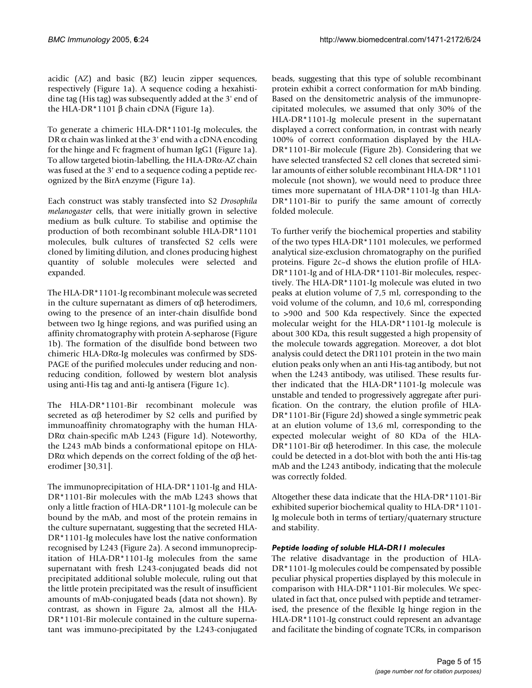acidic (AZ) and basic (BZ) leucin zipper sequences, respectively (Figure 1a). A sequence coding a hexahistidine tag (His tag) was subsequently added at the 3' end of the HLA-DR\*1101 β chain cDNA (Figure 1a).

To generate a chimeric HLA-DR\*1101-Ig molecules, the DR  $\alpha$  chain was linked at the 3' end with a cDNA encoding for the hinge and Fc fragment of human IgG1 (Figure 1a). To allow targeted biotin-labelling, the HLA-DRα-AZ chain was fused at the 3' end to a sequence coding a peptide recognized by the BirA enzyme (Figure 1a).

Each construct was stably transfected into S2 *Drosophila melanogaster* cells, that were initially grown in selective medium as bulk culture. To stabilise and optimise the production of both recombinant soluble HLA-DR\*1101 molecules, bulk cultures of transfected S2 cells were cloned by limiting dilution, and clones producing highest quantity of soluble molecules were selected and expanded.

The HLA-DR\*1101-Ig recombinant molecule was secreted in the culture supernatant as dimers of αβ heterodimers, owing to the presence of an inter-chain disulfide bond between two Ig hinge regions, and was purified using an affinity chromatography with protein A-sepharose (Figure 1b). The formation of the disulfide bond between two chimeric HLA-DRα-Ig molecules was confirmed by SDS-PAGE of the purified molecules under reducing and nonreducing condition, followed by western blot analysis using anti-His tag and anti-Ig antisera (Figure 1c).

The HLA-DR\*1101-Bir recombinant molecule was secreted as  $\alpha\beta$  heterodimer by S2 cells and purified by immunoaffinity chromatography with the human HLA-DRα chain-specific mAb L243 (Figure 1d). Noteworthy, the L243 mAb binds a conformational epitope on HLA-DR $\alpha$  which depends on the correct folding of the  $\alpha\beta$  heterodimer [30,31].

The immunoprecipitation of HLA-DR\*1101-Ig and HLA-DR\*1101-Bir molecules with the mAb L243 shows that only a little fraction of HLA-DR\*1101-Ig molecule can be bound by the mAb, and most of the protein remains in the culture supernatant, suggesting that the secreted HLA-DR\*1101-Ig molecules have lost the native conformation recognised by L243 (Figure 2a). A second immunoprecipitation of HLA-DR\*1101-Ig molecules from the same supernatant with fresh L243-conjugated beads did not precipitated additional soluble molecule, ruling out that the little protein precipitated was the result of insufficient amounts of mAb-conjugated beads (data not shown). By contrast, as shown in Figure 2a, almost all the HLA-DR\*1101-Bir molecule contained in the culture supernatant was immuno-precipitated by the L243-conjugated

beads, suggesting that this type of soluble recombinant protein exhibit a correct conformation for mAb binding. Based on the densitometric analysis of the immunoprecipitated molecules, we assumed that only 30% of the HLA-DR\*1101-Ig molecule present in the supernatant displayed a correct conformation, in contrast with nearly 100% of correct conformation displayed by the HLA-DR\*1101-Bir molecule (Figure 2b). Considering that we have selected transfected S2 cell clones that secreted similar amounts of either soluble recombinant HLA-DR\*1101 molecule (not shown), we would need to produce three times more supernatant of HLA-DR\*1101-Ig than HLA-DR\*1101-Bir to purify the same amount of correctly folded molecule.

To further verify the biochemical properties and stability of the two types HLA-DR\*1101 molecules, we performed analytical size-exclusion chromatography on the purified proteins. Figure 2c–d shows the elution profile of HLA-DR\*1101-Ig and of HLA-DR\*1101-Bir molecules, respectively. The HLA-DR\*1101-Ig molecule was eluted in two peaks at elution volume of 7,5 ml, corresponding to the void volume of the column, and 10,6 ml, corresponding to >900 and 500 Kda respectively. Since the expected molecular weight for the HLA-DR\*1101-Ig molecule is about 300 KDa, this result suggested a high propensity of the molecule towards aggregation. Moreover, a dot blot analysis could detect the DR1101 protein in the two main elution peaks only when an anti His-tag antibody, but not when the L243 antibody, was utilised. These results further indicated that the HLA-DR\*1101-Ig molecule was unstable and tended to progressively aggregate after purification. On the contrary, the elution profile of HLA-DR\*1101-Bir (Figure 2d) showed a single symmetric peak at an elution volume of 13,6 ml, corresponding to the expected molecular weight of 80 KDa of the HLA-DR\*1101-Bir αβ heterodimer. In this case, the molecule could be detected in a dot-blot with both the anti His-tag mAb and the L243 antibody, indicating that the molecule was correctly folded.

Altogether these data indicate that the HLA-DR\*1101-Bir exhibited superior biochemical quality to HLA-DR\*1101- Ig molecule both in terms of tertiary/quaternary structure and stability.

# *Peptide loading of soluble HLA-DR11 molecules*

The relative disadvantage in the production of HLA-DR\*1101-Ig molecules could be compensated by possible peculiar physical properties displayed by this molecule in comparison with HLA-DR\*1101-Bir molecules. We speculated in fact that, once pulsed with peptide and tetramerised, the presence of the flexible Ig hinge region in the HLA-DR\*1101-Ig construct could represent an advantage and facilitate the binding of cognate TCRs, in comparison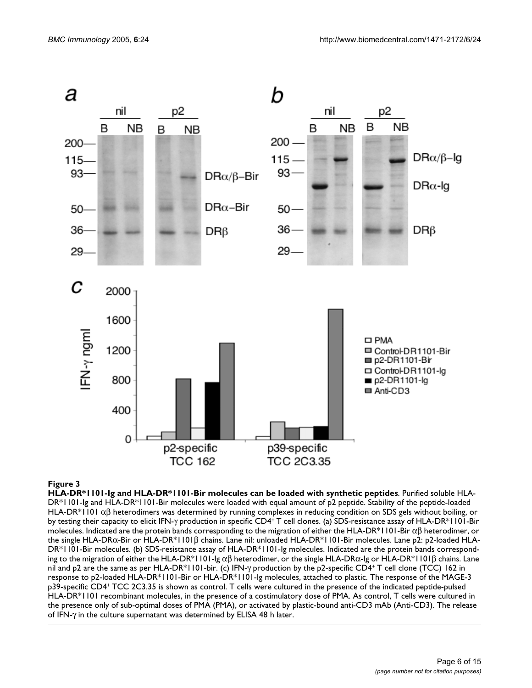

HLA-DR\*1101-Ig and HLA-DR\*1101-Bir molecule **Figure 3** s can be loaded with synthetic peptides **HLA-DR\*1101-Ig and HLA-DR\*1101-Bir molecules can be loaded with synthetic peptides**. Purified soluble HLA-DR\*1101-Ig and HLA-DR\*1101-Bir molecules were loaded with equal amount of p2 peptide. Stability of the peptide-loaded HLA-DR\*1101 αβ heterodimers was determined by running complexes in reducing condition on SDS gels without boiling, or by testing their capacity to elicit IFN-γ production in specific CD4<sup>+</sup>T cell clones. (a) SDS-resistance assay of HLA-DR\*1101-Bir molecules. Indicated are the protein bands corresponding to the migration of either the HLA-DR\*1101-Bir  $\alpha\beta$  heterodimer, or the single HLA-DRα-Bir or HLA-DR\*1101β chains. Lane nil: unloaded HLA-DR\*1101-Bir molecules. Lane p2: p2-loaded HLA-DR\*1101-Bir molecules. (b) SDS-resistance assay of HLA-DR\*1101-Ig molecules. Indicated are the protein bands corresponding to the migration of either the HLA-DR\*1101-Ig  $\alpha\beta$  heterodimer, or the single HLA-DR $\alpha$ -Ig or HLA-DR\*1101 $\beta$  chains. Lane nil and p2 are the same as per HLA-DR\*1101-bir. (c) IFN-γ production by the p2-specific CD4<sup>+</sup>T cell clone (TCC) 162 in response to p2-loaded HLA-DR\*1101-Bir or HLA-DR\*1101-Ig molecules, attached to plastic. The response of the MAGE-3 p39-specific CD4<sup>+</sup>TCC 2C3.35 is shown as control. T cells were cultured in the presence of the indicated peptide-pulsed HLA-DR\*1101 recombinant molecules, in the presence of a costimulatory dose of PMA. As control, T cells were cultured in the presence only of sub-optimal doses of PMA (PMA), or activated by plastic-bound anti-CD3 mAb (Anti-CD3). The release of IFN-γ in the culture supernatant was determined by ELISA 48 h later.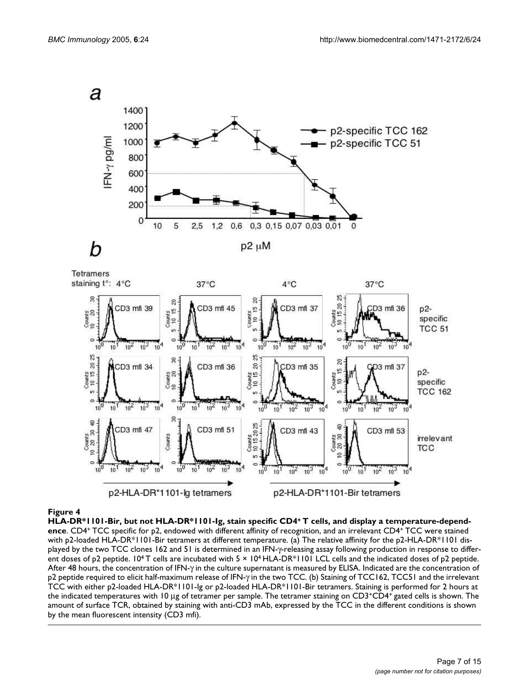

#### HLA-DR\*1101-Bir, but not HLA- **Figure 4** DR\*1101-Ig, stain specific CD4<sup>+</sup>T cells, and display a temperature-dependence

**HLA-DR\*1101-Bir, but not HLA-DR\*1101-Ig, stain specific CD4+ T cells, and display a temperature-dependence**. CD4<sup>+</sup>TCC specific for p2, endowed with different affinity of recognition, and an irrelevant CD4<sup>+</sup>TCC were stained with p2-loaded HLA-DR\*1101-Bir tetramers at different temperature. (a) The relative affinity for the p2-HLA-DR\*1101 displayed by the two TCC clones 162 and 51 is determined in an IFN-γ-releasing assay following production in response to different doses of p2 peptide.  $10^4$  T cells are incubated with  $5 \times 10^4$  HLA-DR\*1101 LCL cells and the indicated doses of p2 peptide. After 48 hours, the concentration of IFN-γ in the culture supernatant is measured by ELISA. Indicated are the concentration of p2 peptide required to elicit half-maximum release of IFN-γ in the two TCC. (b) Staining of TCC162, TCC51 and the irrelevant TCC with either p2-loaded HLA-DR\*1101-Ig or p2-loaded HLA-DR\*1101-Bir tetramers. Staining is performed for 2 hours at the indicated temperatures with 10 µg of tetramer per sample. The tetramer staining on CD3+CD4+ gated cells is shown. The amount of surface TCR, obtained by staining with anti-CD3 mAb, expressed by the TCC in the different conditions is shown by the mean fluorescent intensity (CD3 mfi).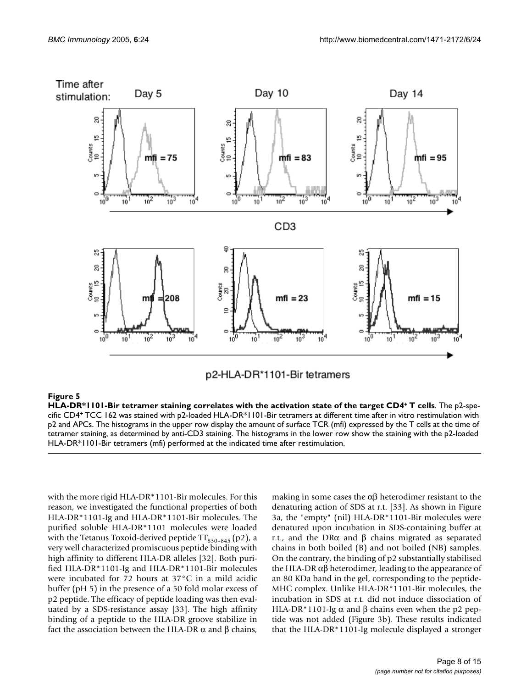

# p2-HLA-DR\*1101-Bir tetramers

#### HLA-DR\*1101-Bir tetramer staining correlates **Figure 5** with the activation state of the target CD4<sup>+</sup>T cells **HLA-DR\*1101-Bir tetramer staining correlates with the activation state of the target CD4+ T cells**. The p2-specific CD4<sup>+</sup>TCC 162 was stained with p2-loaded HLA-DR\*1101-Bir tetramers at different time after in vitro restimulation with p2 and APCs. The histograms in the upper row display the amount of surface TCR (mfi) expressed by the T cells at the time of tetramer staining, as determined by anti-CD3 staining. The histograms in the lower row show the staining with the p2-loaded HLA-DR\*1101-Bir tetramers (mfi) performed at the indicated time after restimulation.

with the more rigid HLA-DR\*1101-Bir molecules. For this reason, we investigated the functional properties of both HLA-DR\*1101-Ig and HLA-DR\*1101-Bir molecules. The purified soluble HLA-DR\*1101 molecules were loaded with the Tetanus Toxoid-derived peptide  $TT_{830-845}$  (p2), a very well characterized promiscuous peptide binding with high affinity to different HLA-DR alleles [32]. Both purified HLA-DR\*1101-Ig and HLA-DR\*1101-Bir molecules were incubated for 72 hours at 37°C in a mild acidic buffer (pH 5) in the presence of a 50 fold molar excess of p2 peptide. The efficacy of peptide loading was then evaluated by a SDS-resistance assay [33]. The high affinity binding of a peptide to the HLA-DR groove stabilize in fact the association between the HLA-DR α and β chains,

making in some cases the  $\alpha\beta$  heterodimer resistant to the denaturing action of SDS at r.t. [33]. As shown in Figure 3a, the "empty" (nil) HLA-DR\*1101-Bir molecules were denatured upon incubation in SDS-containing buffer at r.t., and the DRα and  $\beta$  chains migrated as separated chains in both boiled (B) and not boiled (NB) samples. On the contrary, the binding of p2 substantially stabilised the HLA-DR  $\alpha\beta$  heterodimer, leading to the appearance of an 80 KDa band in the gel, corresponding to the peptide-MHC complex. Unlike HLA-DR\*1101-Bir molecules, the incubation in SDS at r.t. did not induce dissociation of HLA-DR\*1101-Ig  $\alpha$  and  $\beta$  chains even when the p2 peptide was not added (Figure 3b). These results indicated that the HLA-DR\*1101-Ig molecule displayed a stronger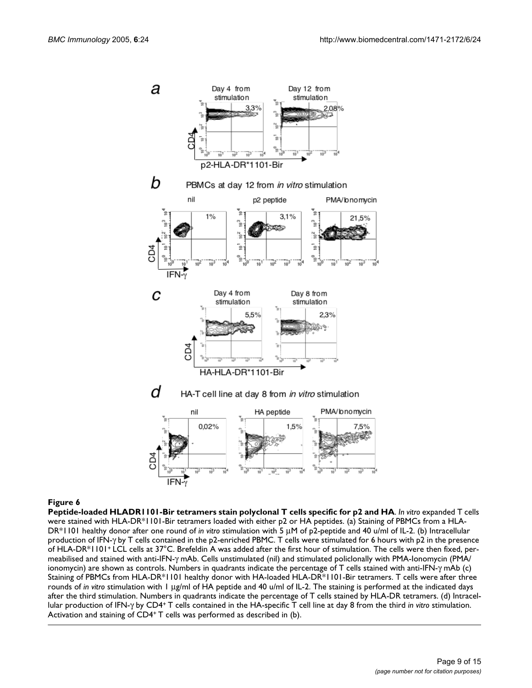

#### Figure 6

**Peptide-loaded HLADR1101-Bir tetramers stain polyclonal T cells specific for p2 and HA.** *In vitro* **expanded T cells** were stained with HLA-DR\*1101-Bir tetramers loaded with either p2 or HA peptides. (a) Staining of PBMCs from a HLA-DR\*1101 healthy donor after one round of *in vitro* stimulation with 5 µM of p2-peptide and 40 u/ml of IL-2. (b) Intracellular production of IFN-γ by T cells contained in the p2-enriched PBMC. T cells were stimulated for 6 hours with p2 in the presence of HLA-DR\*1101+ LCL cells at 37°C. Brefeldin A was added after the first hour of stimulation. The cells were then fixed, permeabilised and stained with anti-IFN-γ mAb. Cells unstimulated (nil) and stimulated policlonally with PMA-Ionomycin (PMA/ ionomycin) are shown as controls. Numbers in quadrants indicate the percentage of T cells stained with anti-IFN-γ mAb (c) Staining of PBMCs from HLA-DR\*1101 healthy donor with HA-loaded HLA-DR\*1101-Bir tetramers. T cells were after three rounds of *in vitro* stimulation with 1 µg/ml of HA peptide and 40 u/ml of IL-2. The staining is performed at the indicated days after the third stimulation. Numbers in quadrants indicate the percentage of T cells stained by HLA-DR tetramers. (d) Intracellular production of IFN-γ by CD4<sup>+</sup>T cells contained in the HA-specific T cell line at day 8 from the third *in vitro* stimulation. Activation and staining of CD4+ T cells was performed as described in (b).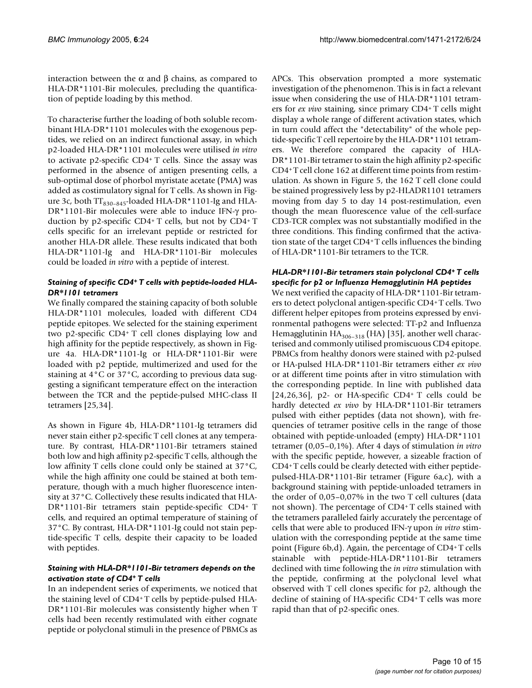interaction between the α and β chains, as compared to HLA-DR\*1101-Bir molecules, precluding the quantification of peptide loading by this method.

To characterise further the loading of both soluble recombinant HLA-DR\*1101 molecules with the exogenous peptides, we relied on an indirect functional assay, in which p2-loaded HLA-DR\*1101 molecules were utilised *in vitro* to activate p2-specific CD4<sup>+</sup>T cells. Since the assay was performed in the absence of antigen presenting cells, a sub-optimal dose of phorbol myristate acetate (PMA) was added as costimulatory signal for T cells. As shown in Figure 3c, both  $TT_{830-845}$ -loaded HLA-DR\*1101-Ig and HLA-DR\*1101-Bir molecules were able to induce IFN-γ production by p2-specific CD4<sup>+</sup>T cells, but not by CD4<sup>+</sup>T cells specific for an irrelevant peptide or restricted for another HLA-DR allele. These results indicated that both HLA-DR\*1101-Ig and HLA-DR\*1101-Bir molecules could be loaded *in vitro* with a peptide of interest.

# *Staining of specific CD4+ T cells with peptide-loaded HLA-DR\*1101 tetramers*

We finally compared the staining capacity of both soluble HLA-DR\*1101 molecules, loaded with different CD4 peptide epitopes. We selected for the staining experiment two p2-specific CD4<sup>+</sup>T cell clones displaying low and high affinity for the peptide respectively, as shown in Figure 4a. HLA-DR\*1101-Ig or HLA-DR\*1101-Bir were loaded with p2 peptide, multimerized and used for the staining at 4°C or 37°C, according to previous data suggesting a significant temperature effect on the interaction between the TCR and the peptide-pulsed MHC-class II tetramers [25,34].

As shown in Figure 4b, HLA-DR\*1101-Ig tetramers did never stain either p2-specific T cell clones at any temperature. By contrast, HLA-DR\*1101-Bir tetramers stained both low and high affinity p2-specific T cells, although the low affinity T cells clone could only be stained at 37°C, while the high affinity one could be stained at both temperature, though with a much higher fluorescence intensity at 37°C. Collectively these results indicated that HLA-DR\*1101-Bir tetramers stain peptide-specific CD4<sup>+</sup>T cells, and required an optimal temperature of staining of 37°C. By contrast, HLA-DR\*1101-Ig could not stain peptide-specific T cells, despite their capacity to be loaded with peptides.

# *Staining with HLA-DR\*1101-Bir tetramers depends on the activation state of CD4<sup>+</sup>T cells*

In an independent series of experiments, we noticed that the staining level of CD4+ T cells by peptide-pulsed HLA-DR\*1101-Bir molecules was consistently higher when T cells had been recently restimulated with either cognate peptide or polyclonal stimuli in the presence of PBMCs as

APCs. This observation prompted a more systematic investigation of the phenomenon. This is in fact a relevant issue when considering the use of HLA-DR\*1101 tetramers for *ex vivo* staining, since primary CD4<sup>+</sup>T cells might display a whole range of different activation states, which in turn could affect the "detectability" of the whole peptide-specific T cell repertoire by the HLA-DR\*1101 tetramers. We therefore compared the capacity of HLA-DR\*1101-Bir tetramer to stain the high affinity p2-specific CD4+ T cell clone 162 at different time points from restimulation. As shown in Figure 5, the 162 T cell clone could be stained progressively less by p2-HLADR1101 tetramers moving from day 5 to day 14 post-restimulation, even though the mean fluorescence value of the cell-surface CD3-TCR complex was not substantially modified in the three conditions. This finding confirmed that the activation state of the target CD4<sup>+</sup>T cells influences the binding of HLA-DR\*1101-Bir tetramers to the TCR.

# *HLA-DR\*1101-Bir tetramers stain polyclonal CD4<sup>+</sup>T cells specific for p2 or Influenza Hemagglutinin HA peptides*

We next verified the capacity of HLA-DR\*1101-Bir tetramers to detect polyclonal antigen-specific CD4<sup>+</sup>T cells. Two different helper epitopes from proteins expressed by environmental pathogens were selected: TT-p2 and Influenza Hemagglutinin  $HA_{306-318}$  (HA) [35], another well characterised and commonly utilised promiscuous CD4 epitope. PBMCs from healthy donors were stained with p2-pulsed or HA-pulsed HLA-DR\*1101-Bir tetramers either *ex vivo* or at different time points after in vitro stimulation with the corresponding peptide. In line with published data [24,26,36], p2- or HA-specific CD4+ T cells could be hardly detected *ex vivo* by HLA-DR\*1101-Bir tetramers pulsed with either peptides (data not shown), with frequencies of tetramer positive cells in the range of those obtained with peptide-unloaded (empty) HLA-DR\*1101 tetramer (0,05–0,1%). After 4 days of stimulation *in vitro* with the specific peptide, however, a sizeable fraction of CD4+ T cells could be clearly detected with either peptidepulsed-HLA-DR\*1101-Bir tetramer (Figure 6a,c), with a background staining with peptide-unloaded tetramers in the order of 0,05–0,07% in the two T cell cultures (data not shown). The percentage of CD4<sup>+</sup>T cells stained with the tetramers paralleled fairly accurately the percentage of cells that were able to produced IFN-γ upon *in vitro* stimulation with the corresponding peptide at the same time point (Figure 6b,d). Again, the percentage of CD4<sup>+</sup>T cells stainable with peptide-HLA-DR\*1101-Bir tetramers declined with time following the *in vitro* stimulation with the peptide, confirming at the polyclonal level what observed with T cell clones specific for p2, although the decline of staining of HA-specific CD4<sup>+</sup>T cells was more rapid than that of p2-specific ones.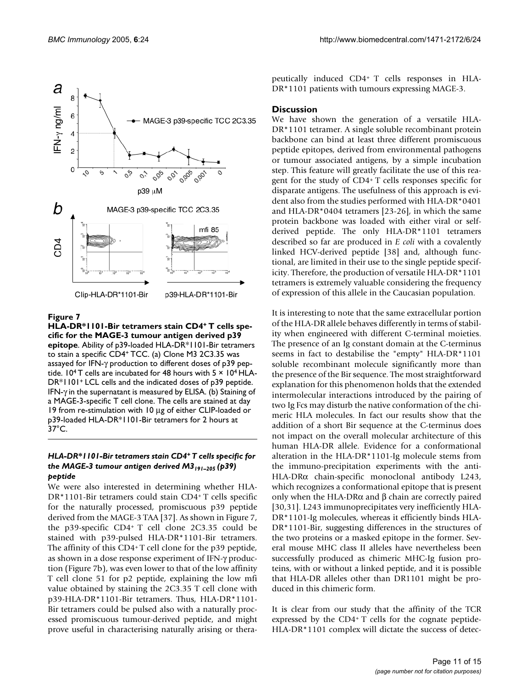

# Figure 7

**HLA-DR\*1101-Bir tetramers stain CD4+ T cells specific for the MAGE-3 tumour antigen derived p39 epitope**. Ability of p39-loaded HLA-DR\*1101-Bir tetramers to stain a specific CD4<sup>+</sup>TCC. (a) Clone M3 2C3.35 was assayed for IFN-γ production to different doses of p39 peptide.  $10^4$  T cells are incubated for 48 hours with 5  $\times$  10<sup>4</sup> HLA-DR\*1101<sup>+</sup>LCL cells and the indicated doses of p39 peptide. IFN-γ in the supernatant is measured by ELISA. (b) Staining of a MAGE-3-specific T cell clone. The cells are stained at day 19 from re-stimulation with 10 µg of either CLIP-loaded or p39-loaded HLA-DR\*1101-Bir tetramers for 2 hours at 37°C.

#### *HLA-DR\*1101-Bir tetramers stain CD4<sup>+</sup>T cells specific for the MAGE-3 tumour antigen derived M3191–205 (p39) peptide*

We were also interested in determining whether HLA-DR\*1101-Bir tetramers could stain CD4<sup>+</sup>T cells specific for the naturally processed, promiscuous p39 peptide derived from the MAGE-3 TAA [37]. As shown in Figure 7, the p39-specific CD4<sup>+</sup>T cell clone 2C3.35 could be stained with p39-pulsed HLA-DR\*1101-Bir tetramers. The affinity of this CD4<sup>+</sup>T cell clone for the p39 peptide, as shown in a dose response experiment of IFN-γ production (Figure 7b), was even lower to that of the low affinity T cell clone 51 for p2 peptide, explaining the low mfi value obtained by staining the 2C3.35 T cell clone with p39-HLA-DR\*1101-Bir tetramers. Thus, HLA-DR\*1101- Bir tetramers could be pulsed also with a naturally processed promiscuous tumour-derived peptide, and might prove useful in characterising naturally arising or therapeutically induced CD4+ T cells responses in HLA-DR\*1101 patients with tumours expressing MAGE-3.

#### **Discussion**

We have shown the generation of a versatile HLA-DR\*1101 tetramer. A single soluble recombinant protein backbone can bind at least three different promiscuous peptide epitopes, derived from environmental pathogens or tumour associated antigens, by a simple incubation step. This feature will greatly facilitate the use of this reagent for the study of CD4<sup>+</sup>T cells responses specific for disparate antigens. The usefulness of this approach is evident also from the studies performed with HLA-DR\*0401 and HLA-DR\*0404 tetramers [23-26], in which the same protein backbone was loaded with either viral or selfderived peptide. The only HLA-DR\*1101 tetramers described so far are produced in *E coli* with a covalently linked HCV-derived peptide [38] and, although functional, are limited in their use to the single peptide specificity. Therefore, the production of versatile HLA-DR\*1101 tetramers is extremely valuable considering the frequency of expression of this allele in the Caucasian population.

It is interesting to note that the same extracellular portion of the HLA-DR allele behaves differently in terms of stability when engineered with different C-terminal moieties. The presence of an Ig constant domain at the C-terminus seems in fact to destabilise the "empty" HLA-DR\*1101 soluble recombinant molecule significantly more than the presence of the Bir sequence. The most straightforward explanation for this phenomenon holds that the extended intermolecular interactions introduced by the pairing of two Ig Fcs may disturb the native conformation of the chimeric HLA molecules. In fact our results show that the addition of a short Bir sequence at the C-terminus does not impact on the overall molecular architecture of this human HLA-DR allele. Evidence for a conformational alteration in the HLA-DR\*1101-Ig molecule stems from the immuno-precipitation experiments with the anti-HLA-DRα chain-specific monoclonal antibody L243, which recognizes a conformational epitope that is present only when the HLA-DRα and  $β$  chain are correctly paired [30,31]. L243 immunoprecipitates very inefficiently HLA-DR\*1101-Ig molecules, whereas it efficiently binds HLA-DR\*1101-Bir, suggesting differences in the structures of the two proteins or a masked epitope in the former. Several mouse MHC class II alleles have nevertheless been successfully produced as chimeric MHC-Ig fusion proteins, with or without a linked peptide, and it is possible that HLA-DR alleles other than DR1101 might be produced in this chimeric form.

It is clear from our study that the affinity of the TCR expressed by the CD4+ T cells for the cognate peptide-HLA-DR\*1101 complex will dictate the success of detec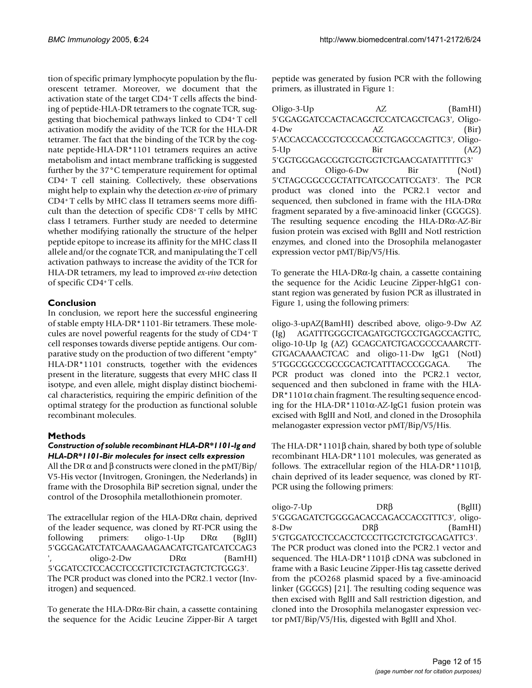tion of specific primary lymphocyte population by the fluorescent tetramer. Moreover, we document that the activation state of the target CD4+ T cells affects the binding of peptide-HLA-DR tetramers to the cognate TCR, suggesting that biochemical pathways linked to CD4<sup>+</sup>T cell activation modify the avidity of the TCR for the HLA-DR tetramer. The fact that the binding of the TCR by the cognate peptide-HLA-DR\*1101 tetramers requires an active metabolism and intact membrane trafficking is suggested further by the 37°C temperature requirement for optimal CD4<sup>+</sup>T cell staining. Collectively, these observations might help to explain why the detection *ex-vivo* of primary CD4+ T cells by MHC class II tetramers seems more difficult than the detection of specific CD8<sup>+</sup>T cells by MHC class I tetramers. Further study are needed to determine whether modifying rationally the structure of the helper peptide epitope to increase its affinity for the MHC class II allele and/or the cognate TCR, and manipulating the T cell activation pathways to increase the avidity of the TCR for HLA-DR tetramers, my lead to improved *ex-vivo* detection of specific CD4<sup>+</sup>T cells.

# **Conclusion**

In conclusion, we report here the successful engineering of stable empty HLA-DR\*1101-Bir tetramers. These molecules are novel powerful reagents for the study of CD4<sup>+</sup>T cell responses towards diverse peptide antigens. Our comparative study on the production of two different "empty" HLA-DR\*1101 constructs, together with the evidences present in the literature, suggests that every MHC class II isotype, and even allele, might display distinct biochemical characteristics, requiring the empiric definition of the optimal strategy for the production as functional soluble recombinant molecules.

# **Methods**

#### *Construction of soluble recombinant HLA-DR\*1101-Ig and HLA-DR\*1101-Bir molecules for insect cells expression*

All the DR  $\alpha$  and  $\beta$  constructs were cloned in the pMT/Bip/ V5-His vector (Invitrogen, Groningen, the Nederlands) in frame with the Drosophila BiP secretion signal, under the control of the Drosophila metallothionein promoter.

The extracellular region of the HLA-DRα chain, deprived of the leader sequence, was cloned by RT-PCR using the following primers: oligo-1-Up DRα (BglII) 5'GGGAGATCTATCAAAGAAGAACATGTGATCATCCAG3  $oligo-2-Dw$  DR $\alpha$  (BamHI) 5'GGATCCTCCACCTCCGTTCTCTGTAGTCTCTGGG3'. The PCR product was cloned into the PCR2.1 vector (Invitrogen) and sequenced.

To generate the HLA-DRα-Bir chain, a cassette containing the sequence for the Acidic Leucine Zipper-Bir A target peptide was generated by fusion PCR with the following primers, as illustrated in Figure 1:

| Oligo-3-Up                                                  |     | AZ.                                           | (BamHI) |
|-------------------------------------------------------------|-----|-----------------------------------------------|---------|
| 5'GGAGGATCCACTACAGCTCCATCAGCTCAG3', Oligo-                  |     |                                               |         |
| $4-Dw$                                                      | AZ. |                                               | (Bir)   |
| 5'ACCACCACCGTCCCCACCCTGAGCCAGTTC3', Oligo-                  |     |                                               |         |
| $5-Up$                                                      | Bir |                                               | (AZ)    |
| 5'GGTGGGAGCGGTGGTGGTCTGAACGATATTTTTG3'                      |     |                                               |         |
| and                                                         |     | Oligo-6-Dw Bir                                | (NotI)  |
| 5'CTAGCGGCCGCTATTCATGCCATTCGAT3'. The PCR                   |     |                                               |         |
|                                                             |     | product was cloned into the PCR2.1 vector and |         |
| sequenced, then subcloned in frame with the HLA-DR $\alpha$ |     |                                               |         |
| fragment separated by a five-aminoacid linker (GGGGS).      |     |                                               |         |
| The resulting sequence encoding the HLA-DR $\alpha$ -AZ-Bir |     |                                               |         |
| fusion protein was excised with BglII and NotI restriction  |     |                                               |         |
| enzymes, and cloned into the Drosophila melanogaster        |     |                                               |         |
| expression vector pMT/Bip/V5/His.                           |     |                                               |         |

To generate the HLA-DRα-Ig chain, a cassette containing the sequence for the Acidic Leucine Zipper-hIgG1 constant region was generated by fusion PCR as illustrated in Figure 1, using the following primers:

oligo-3-upAZ(BamHI) described above, oligo-9-Dw AZ (Ig) AGATTTGGGCTCAGATGCTGCCTGAGCCAGTTC, oligo-10-Up Ig (AZ) GCAGCATCTGACGCCCAAARCTT-GTGACAAAACTCAC and oligo-11-Dw IgG1 (NotI) 5'TGGCGGCCGCCGCACTCATTTACCCGGAGA. The PCR product was cloned into the PCR2.1 vector, sequenced and then subcloned in frame with the HLA- $DR*1101\alpha$  chain fragment. The resulting sequence encoding for the HLA-DR\*1101α-AZ-IgG1 fusion protein was excised with BglII and NotI, and cloned in the Drosophila melanogaster expression vector pMT/Bip/V5/His.

The HLA-DR\*1101β chain, shared by both type of soluble recombinant HLA-DR\*1101 molecules, was generated as follows. The extracellular region of the HLA-DR\*1101β, chain deprived of its leader sequence, was cloned by RT-PCR using the following primers:

oligo-7-Up DRβ (BglII) 5'GGGAGATCTGGGGACACCAGACCACGTTTC3', oligo-8-Dw DRβ (BamHI) 5'GTGGATCCTCCACCTCCCTTGCTCTGTGCAGATTC3'. The PCR product was cloned into the PCR2.1 vector and sequenced. The HLA-DR\*1101β cDNA was subcloned in frame with a Basic Leucine Zipper-His tag cassette derived from the pCO268 plasmid spaced by a five-aminoacid linker (GGGGS) [21]. The resulting coding sequence was then excised with BglII and SalI restriction digestion, and cloned into the Drosophila melanogaster expression vector pMT/Bip/V5/His, digested with BglII and XhoI.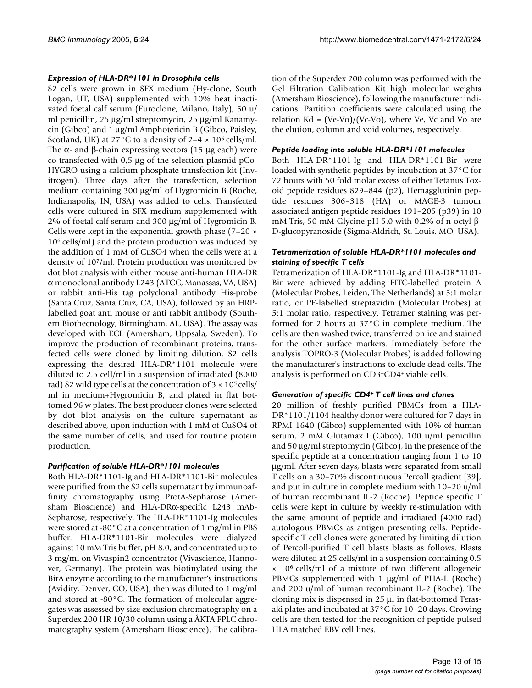# *Expression of HLA-DR\*1101 in Drosophila cells*

S2 cells were grown in SFX medium (Hy-clone, South Logan, UT, USA) supplemented with 10% heat inactivated foetal calf serum (Euroclone, Milano, Italy), 50 u/ ml penicillin, 25 µg/ml streptomycin, 25 µg/ml Kanamycin (Gibco) and 1 µg/ml Amphotericin B (Gibco, Paisley, Scotland, UK) at 27 $^{\circ}$ C to a density of 2–4  $\times$  10<sup>6</sup> cells/ml. The α- and β-chain expressing vectors (15  $\mu$ g each) were co-transfected with 0,5 µg of the selection plasmid pCo-HYGRO using a calcium phosphate transfection kit (Invitrogen). Three days after the transfection, selection medium containing 300 µg/ml of Hygromicin B (Roche, Indianapolis, IN, USA) was added to cells. Transfected cells were cultured in SFX medium supplemented with 2% of foetal calf serum and 300 µg/ml of Hygromicin B. Cells were kept in the exponential growth phase (7–20 ×  $10<sup>6</sup>$  cells/ml) and the protein production was induced by the addition of 1 mM of CuSO4 when the cells were at a density of 10<sup>7</sup>/ml. Protein production was monitored by dot blot analysis with either mouse anti-human HLA-DR α monoclonal antibody L243 (ATCC, Manassas, VA, USA) or rabbit anti-His tag polyclonal antibody His-probe (Santa Cruz, Santa Cruz, CA, USA), followed by an HRPlabelled goat anti mouse or anti rabbit antibody (Southern Biothecnology, Birmingham, AL, USA). The assay was developed with ECL (Amersham, Uppsala, Sweden). To improve the production of recombinant proteins, transfected cells were cloned by limiting dilution. S2 cells expressing the desired HLA-DR\*1101 molecule were diluted to 2.5 cell/ml in a suspension of irradiated (8000 rad) S2 wild type cells at the concentration of  $3 \times 10^5$  cells/ ml in medium+Hygromicin B, and plated in flat bottomed 96 w plates. The best producer clones were selected by dot blot analysis on the culture supernatant as described above, upon induction with 1 mM of CuSO4 of the same number of cells, and used for routine protein production.

# *Purification of soluble HLA-DR\*1101 molecules*

Both HLA-DR\*1101-Ig and HLA-DR\*1101-Bir molecules were purified from the S2 cells supernatant by immunoaffinity chromatography using ProtA-Sepharose (Amersham Bioscience) and HLA-DRα-specific L243 mAb-Sepharose, respectively. The HLA-DR\*1101-Ig molecules were stored at -80°C at a concentration of 1 mg/ml in PBS buffer. HLA-DR\*1101-Bir molecules were dialyzed against 10 mM Tris buffer, pH 8.0, and concentrated up to 3 mg/ml on Vivaspin2 concentrator (Vivascience, Hannover, Germany). The protein was biotinylated using the BirA enzyme according to the manufacturer's instructions (Avidity, Denver, CO, USA), then was diluted to 1 mg/ml and stored at -80°C. The formation of molecular aggregates was assessed by size exclusion chromatography on a Superdex 200 HR 10/30 column using a ÅKTA FPLC chromatography system (Amersham Bioscience). The calibration of the Superdex 200 column was performed with the Gel Filtration Calibration Kit high molecular weights (Amersham Bioscience), following the manufacturer indications. Partition coefficients were calculated using the relation Kd =  $(Ve-Vo)/(Vc-Vo)$ , where Ve, Vc and Vo are the elution, column and void volumes, respectively.

#### *Peptide loading into soluble HLA-DR\*1101 molecules*

Both HLA-DR\*1101-Ig and HLA-DR\*1101-Bir were loaded with synthetic peptides by incubation at 37°C for 72 hours with 50 fold molar excess of either Tetanus Toxoid peptide residues 829–844 (p2), Hemagglutinin peptide residues 306–318 (HA) or MAGE-3 tumour associated antigen peptide residues 191–205 (p39) in 10 mM Tris, 50 mM Glycine pH 5.0 with 0.2% of n-octyl-β-D-glucopyranoside (Sigma-Aldrich, St. Louis, MO, USA).

#### *Tetramerization of soluble HLA-DR\*1101 molecules and staining of specific T cells*

Tetramerization of HLA-DR\*1101-Ig and HLA-DR\*1101- Bir were achieved by adding FITC-labelled protein A (Molecular Probes, Leiden, The Netherlands) at 5:1 molar ratio, or PE-labelled streptavidin (Molecular Probes) at 5:1 molar ratio, respectively. Tetramer staining was performed for 2 hours at 37°C in complete medium. The cells are then washed twice, transferred on ice and stained for the other surface markers. Immediately before the analysis TOPRO-3 (Molecular Probes) is added following the manufacturer's instructions to exclude dead cells. The analysis is performed on CD3+CD4+ viable cells.

# *Generation of specific CD4<sup>+</sup>T cell lines and clones*

20 million of freshly purified PBMCs from a HLA-DR\*1101/1104 healthy donor were cultured for 7 days in RPMI 1640 (Gibco) supplemented with 10% of human serum, 2 mM Glutamax I (Gibco), 100 u/ml penicillin and 50 µg/ml streptomycin (Gibco), in the presence of the specific peptide at a concentration ranging from 1 to 10 µg/ml. After seven days, blasts were separated from small T cells on a 30–70% discontinuous Percoll gradient [39], and put in culture in complete medium with 10–20 u/ml of human recombinant IL-2 (Roche). Peptide specific T cells were kept in culture by weekly re-stimulation with the same amount of peptide and irradiated (4000 rad) autologous PBMCs as antigen presenting cells. Peptidespecific T cell clones were generated by limiting dilution of Percoll-purified T cell blasts blasts as follows. Blasts were diluted at 25 cells/ml in a suspension containing 0.5  $\times$  10<sup>6</sup> cells/ml of a mixture of two different allogeneic PBMCs supplemented with 1  $\mu$ g/ml of PHA-L (Roche) and 200 u/ml of human recombinant IL-2 (Roche). The cloning mix is dispensed in 25 µl in flat-bottomed Terasaki plates and incubated at 37°C for 10–20 days. Growing cells are then tested for the recognition of peptide pulsed HLA matched EBV cell lines.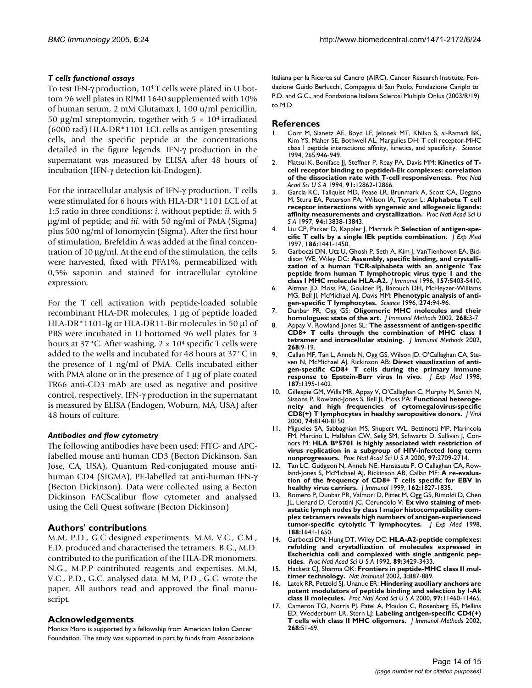# *T cells functional assays*

To test IFN-γ production, 104 T cells were plated in U bottom 96 well plates in RPMI 1640 supplemented with 10% of human serum, 2 mM Glutamax I, 100 u/ml penicillin, 50  $\mu$ g/ml streptomycin, together with 5  $\times$  10<sup>4</sup> irradiated (6000 rad) HLA-DR\*1101 LCL cells as antigen presenting cells, and the specific peptide at the concentrations detailed in the figure legends. IFN-γ production in the supernatant was measured by ELISA after 48 hours of incubation (IFN-γ detection kit-Endogen).

For the intracellular analysis of IFN-γ production, T cells were stimulated for 6 hours with HLA-DR\*1101 LCL of at 1:5 ratio in three conditions: *i*. without peptide; *ii*. with 5 µg/ml of peptide; and *iii*. with 50 ng/ml of PMA (Sigma) plus 500 ng/ml of Ionomycin (Sigma). After the first hour of stimulation, Brefeldin A was added at the final concentration of 10 µg/ml. At the end of the stimulation, the cells were harvested, fixed with PFA1%, permeabilized with 0,5% saponin and stained for intracellular cytokine expression.

For the T cell activation with peptide-loaded soluble recombinant HLA-DR molecules, 1 µg of peptide loaded HLA-DR\*1101-Ig or HLA-DR11-Bir molecules in 50 µl of PBS were incubated in U bottomed 96 well plates for 3 hours at 37°C. After washing,  $2 \times 10^4$  specific T cells were added to the wells and incubated for 48 hours at 37°C in the presence of 1 ng/ml of PMA. Cells incubated either with PMA alone or in the presence of 1 µg of plate coated TR66 anti-CD3 mAb are used as negative and positive control, respectively. IFN-γ production in the supernatant is measured by ELISA (Endogen, Woburn, MA, USA) after 48 hours of culture.

# *Antibodies and flow cytometry*

The following antibodies have been used: FITC- and APClabelled mouse anti human CD3 (Becton Dickinson, San Jose, CA, USA), Quantum Red-conjugated mouse antihuman CD4 (SIGMA), PE-labelled rat anti-human IFN-γ (Becton Dickinson). Data were collected using a Becton Dickinson FACScalibur flow cytometer and analysed using the Cell Quest software (Becton Dickinson)

# **Authors' contributions**

M.M, P.D., G.C designed experiments. M.M, V.C., C.M., E.D. produced and characterised the tetramers. B.G., M.D. contributed to the purification of the HLA-DR monomers. N.G., M.P.P contributed reagents and expertises. M.M, V.C., P.D., G.C. analysed data. M.M, P.D., G.C. wrote the paper. All authors read and approved the final manuscript.

# **Acknowledgements**

Monica Moro is supported by a fellowship from American Italian Cancer Foundation. The study was supported in part by funds from Associazione Italiana per la Ricerca sul Cancro (AIRC), Cancer Research Institute, Fondazione Guido Berlucchi, Compagnia di San Paolo, Fondazione Cariplo to P.D. and G.C., and Fondazione Italiana Sclerosi Multipla Onlus (2003/R/19) to M.D.

#### **References**

- 1. Corr M, Slanetz AE, Boyd LF, Jelonek MT, Khilko S, al-Ramadi BK, Kim YS, Maher SE, Bothwell AL, Margulies DH: [T cell receptor-MHC](http://www.ncbi.nlm.nih.gov/entrez/query.fcgi?cmd=Retrieve&db=PubMed&dopt=Abstract&list_uids=8052850) [class I peptide interactions: affinity, kinetics, and specificity.](http://www.ncbi.nlm.nih.gov/entrez/query.fcgi?cmd=Retrieve&db=PubMed&dopt=Abstract&list_uids=8052850) *Science* 1994, 265:946-949.
- 2. Matsui K, Boniface JJ, Steffner P, Reay PA, Davis MM: **[Kinetics of T](http://www.ncbi.nlm.nih.gov/entrez/query.fcgi?cmd=Retrieve&db=PubMed&dopt=Abstract&list_uids=7809136)[cell receptor binding to peptide/I-Ek complexes: correlation](http://www.ncbi.nlm.nih.gov/entrez/query.fcgi?cmd=Retrieve&db=PubMed&dopt=Abstract&list_uids=7809136) [of the dissociation rate with T-cell responsiveness.](http://www.ncbi.nlm.nih.gov/entrez/query.fcgi?cmd=Retrieve&db=PubMed&dopt=Abstract&list_uids=7809136)** *Proc Natl Acad Sci U S A* 1994, **91:**12862-12866.
- 3. Garcia KC, Tallquist MD, Pease LR, Brunmark A, Scott CA, Degano M, Stura EA, Peterson PA, Wilson IA, Teyton L: **[Alphabeta T cell](http://www.ncbi.nlm.nih.gov/entrez/query.fcgi?cmd=Retrieve&db=PubMed&dopt=Abstract&list_uids=9391114) [receptor interactions with syngeneic and allogeneic ligands:](http://www.ncbi.nlm.nih.gov/entrez/query.fcgi?cmd=Retrieve&db=PubMed&dopt=Abstract&list_uids=9391114) [affinity measurements and crystallization.](http://www.ncbi.nlm.nih.gov/entrez/query.fcgi?cmd=Retrieve&db=PubMed&dopt=Abstract&list_uids=9391114)** *Proc Natl Acad Sci U S A* 1997, **94:**13838-13843.
- 4. Liu CP, Parker D, Kappler J, Marrack P: **[Selection of antigen-spe](http://www.ncbi.nlm.nih.gov/entrez/query.fcgi?cmd=Retrieve&db=PubMed&dopt=Abstract&list_uids=9348301)[cific T cells by a single IEk peptide combination.](http://www.ncbi.nlm.nih.gov/entrez/query.fcgi?cmd=Retrieve&db=PubMed&dopt=Abstract&list_uids=9348301)** *J Exp Med* 1997, **186:**1441-1450.
- 5. Garboczi DN, Utz U, Ghosh P, Seth A, Kim J, VanTienhoven EA, Biddison WE, Wiley DC: **[Assembly, specific binding, and crystalli](http://www.ncbi.nlm.nih.gov/entrez/query.fcgi?cmd=Retrieve&db=PubMed&dopt=Abstract&list_uids=8955188)zation of a human TCR-alphabeta with an antigenic Tax [peptide from human T lymphotropic virus type 1 and the](http://www.ncbi.nlm.nih.gov/entrez/query.fcgi?cmd=Retrieve&db=PubMed&dopt=Abstract&list_uids=8955188) [class I MHC molecule HLA-A2.](http://www.ncbi.nlm.nih.gov/entrez/query.fcgi?cmd=Retrieve&db=PubMed&dopt=Abstract&list_uids=8955188)** *J Immunol* 1996, **157:**5403-5410.
- 6. Altman JD, Moss PA, Goulder PJ, Barouch DH, McHeyzer-Williams MG, Bell JI, McMichael AJ, Davis MM: **[Phenotypic analysis of anti](http://www.ncbi.nlm.nih.gov/entrez/query.fcgi?cmd=Retrieve&db=PubMed&dopt=Abstract&list_uids=8810254)[gen-specific T lymphocytes.](http://www.ncbi.nlm.nih.gov/entrez/query.fcgi?cmd=Retrieve&db=PubMed&dopt=Abstract&list_uids=8810254)** *Science* 1996, **274:**94-96.
- 7. Dunbar PR, Ogg GS: **[Oligomeric MHC molecules and their](http://www.ncbi.nlm.nih.gov/entrez/query.fcgi?cmd=Retrieve&db=PubMed&dopt=Abstract&list_uids=12213337) [homologues: state of the art.](http://www.ncbi.nlm.nih.gov/entrez/query.fcgi?cmd=Retrieve&db=PubMed&dopt=Abstract&list_uids=12213337)** *J Immunol Methods* 2002, **268:**3-7.
- 8. Appay V, Rowland-Jones SL: **[The assessment of antigen-specific](http://www.ncbi.nlm.nih.gov/entrez/query.fcgi?cmd=Retrieve&db=PubMed&dopt=Abstract&list_uids=12213338) [CD8+ T cells through the combination of MHC class I](http://www.ncbi.nlm.nih.gov/entrez/query.fcgi?cmd=Retrieve&db=PubMed&dopt=Abstract&list_uids=12213338) [tetramer and intracellular staining.](http://www.ncbi.nlm.nih.gov/entrez/query.fcgi?cmd=Retrieve&db=PubMed&dopt=Abstract&list_uids=12213338)** *J Immunol Methods* 2002, **268:**9-19.
- 9. Callan MF, Tan L, Annels N, Ogg GS, Wilson JD, O'Callaghan CA, Steven N, McMichael AJ, Rickinson AB: **[Direct visualization of anti](http://www.ncbi.nlm.nih.gov/entrez/query.fcgi?cmd=Retrieve&db=PubMed&dopt=Abstract&list_uids=9565632)[gen-specific CD8+ T cells during the primary immune](http://www.ncbi.nlm.nih.gov/entrez/query.fcgi?cmd=Retrieve&db=PubMed&dopt=Abstract&list_uids=9565632) [response to Epstein-Barr virus In vivo.](http://www.ncbi.nlm.nih.gov/entrez/query.fcgi?cmd=Retrieve&db=PubMed&dopt=Abstract&list_uids=9565632)** *J Exp Med* 1998, **187:**1395-1402.
- Gillespie GM, Wills MR, Appay V, O'Callaghan C, Murphy M, Smith N, Sissons P, Rowland-Jones S, Bell JI, Moss PA: **[Functional heteroge](http://www.ncbi.nlm.nih.gov/entrez/query.fcgi?cmd=Retrieve&db=PubMed&dopt=Abstract&list_uids=10933725)[neity and high frequencies of cytomegalovirus-specific](http://www.ncbi.nlm.nih.gov/entrez/query.fcgi?cmd=Retrieve&db=PubMed&dopt=Abstract&list_uids=10933725) [CD8\(+\) T lymphocytes in healthy seropositive donors.](http://www.ncbi.nlm.nih.gov/entrez/query.fcgi?cmd=Retrieve&db=PubMed&dopt=Abstract&list_uids=10933725)** *J Virol* 2000, **74:**8140-8150.
- 11. Migueles SA, Sabbaghian MS, Shupert WL, Bettinotti MP, Marincola FM, Martino L, Hallahan CW, Selig SM, Schwartz D, Sullivan J, Connors M: **[HLA B\\*5701 is highly associated with restriction of](http://www.ncbi.nlm.nih.gov/entrez/query.fcgi?cmd=Retrieve&db=PubMed&dopt=Abstract&list_uids=10694578) [virus replication in a subgroup of HIV-infected long term](http://www.ncbi.nlm.nih.gov/entrez/query.fcgi?cmd=Retrieve&db=PubMed&dopt=Abstract&list_uids=10694578) [nonprogressors.](http://www.ncbi.nlm.nih.gov/entrez/query.fcgi?cmd=Retrieve&db=PubMed&dopt=Abstract&list_uids=10694578)** *Proc Natl Acad Sci U S A* 2000, **97:**2709-2714.
- 12. Tan LC, Gudgeon N, Annels NE, Hansasuta P, O'Callaghan CA, Rowland-Jones S, McMichael AJ, Rickinson AB, Callan MF: **[A re-evalua](http://www.ncbi.nlm.nih.gov/entrez/query.fcgi?cmd=Retrieve&db=PubMed&dopt=Abstract&list_uids=9973448)[tion of the frequency of CD8+ T cells specific for EBV in](http://www.ncbi.nlm.nih.gov/entrez/query.fcgi?cmd=Retrieve&db=PubMed&dopt=Abstract&list_uids=9973448) [healthy virus carriers.](http://www.ncbi.nlm.nih.gov/entrez/query.fcgi?cmd=Retrieve&db=PubMed&dopt=Abstract&list_uids=9973448)** *J Immunol* 1999, **162:**1827-1835.
- 13. Romero P, Dunbar PR, Valmori D, Pittet M, Ogg GS, Rimoldi D, Chen JL, Lienard D, Cerottini JC, Cerundolo V: **[Ex vivo staining of met](http://www.ncbi.nlm.nih.gov/entrez/query.fcgi?cmd=Retrieve&db=PubMed&dopt=Abstract&list_uids=9802976)astatic lymph nodes by class I major histocompatibility com[plex tetramers reveals high numbers of antigen-experienced](http://www.ncbi.nlm.nih.gov/entrez/query.fcgi?cmd=Retrieve&db=PubMed&dopt=Abstract&list_uids=9802976) [tumor-specific cytolytic T lymphocytes.](http://www.ncbi.nlm.nih.gov/entrez/query.fcgi?cmd=Retrieve&db=PubMed&dopt=Abstract&list_uids=9802976)** *J Exp Med* 1998, **188:**1641-1650.
- 14. Garboczi DN, Hung DT, Wiley DC: **[HLA-A2-peptide complexes:](http://www.ncbi.nlm.nih.gov/entrez/query.fcgi?cmd=Retrieve&db=PubMed&dopt=Abstract&list_uids=1565634) refolding and crystallization of molecules expressed in [Escherichia coli and complexed with single antigenic pep](http://www.ncbi.nlm.nih.gov/entrez/query.fcgi?cmd=Retrieve&db=PubMed&dopt=Abstract&list_uids=1565634)[tides.](http://www.ncbi.nlm.nih.gov/entrez/query.fcgi?cmd=Retrieve&db=PubMed&dopt=Abstract&list_uids=1565634)** *Proc Natl Acad Sci U S A* 1992, **89:**3429-3433.
- 15. Hackett CJ, Sharma OK: **[Frontiers in peptide-MHC class II mul](http://www.ncbi.nlm.nih.gov/entrez/query.fcgi?cmd=Retrieve&db=PubMed&dopt=Abstract&list_uids=12352960)[timer technology.](http://www.ncbi.nlm.nih.gov/entrez/query.fcgi?cmd=Retrieve&db=PubMed&dopt=Abstract&list_uids=12352960)** *Nat Immunol* 2002, **3:**887-889.
- 16. Latek RR, Petzold SJ, Unanue ER: **[Hindering auxiliary anchors are](http://www.ncbi.nlm.nih.gov/entrez/query.fcgi?cmd=Retrieve&db=PubMed&dopt=Abstract&list_uids=11016975) [potent modulators of peptide binding and selection by I-Ak](http://www.ncbi.nlm.nih.gov/entrez/query.fcgi?cmd=Retrieve&db=PubMed&dopt=Abstract&list_uids=11016975) [class II molecules.](http://www.ncbi.nlm.nih.gov/entrez/query.fcgi?cmd=Retrieve&db=PubMed&dopt=Abstract&list_uids=11016975)** *Proc Natl Acad Sci U S A* 2000, **97:**11460-11465.
- 17. Cameron TO, Norris PJ, Patel A, Moulon C, Rosenberg ES, Mellins ED, Wedderburn LR, Stern LJ: **[Labeling antigen-specific CD4\(+\)](http://www.ncbi.nlm.nih.gov/entrez/query.fcgi?cmd=Retrieve&db=PubMed&dopt=Abstract&list_uids=12213343) [T cells with class II MHC oligomers.](http://www.ncbi.nlm.nih.gov/entrez/query.fcgi?cmd=Retrieve&db=PubMed&dopt=Abstract&list_uids=12213343)** *J Immunol Methods* 2002, **268:**51-69.